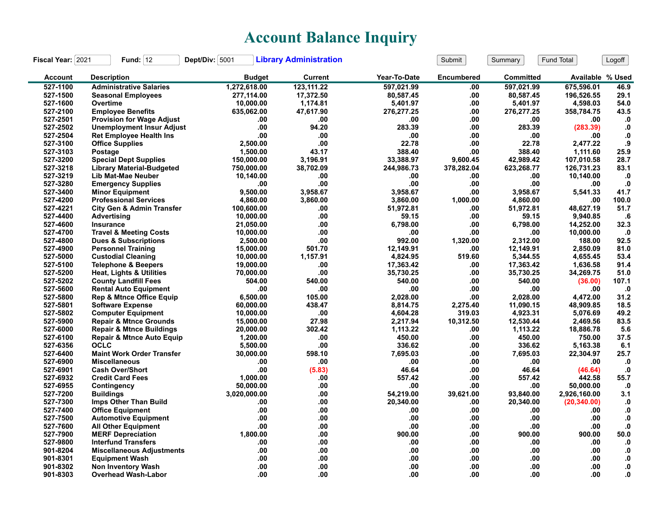## **Account Balance Inquiry**

| Fiscal Year: 2021 | Fund: $12$                           | Dept/Div: 5001 | <b>Library Administration</b> |              | Submit            | Summary          | Fund Total       | Logoff            |
|-------------------|--------------------------------------|----------------|-------------------------------|--------------|-------------------|------------------|------------------|-------------------|
| <b>Account</b>    | <b>Description</b>                   | <b>Budget</b>  | <b>Current</b>                | Year-To-Date | <b>Encumbered</b> | <b>Committed</b> | Available % Used |                   |
| 527-1100          | <b>Administrative Salaries</b>       | 1,272,618.00   | 123,111.22                    | 597,021.99   | .00               | 597,021.99       | 675,596.01       | 46.9              |
| 527-1500          | <b>Seasonal Employees</b>            | 277,114.00     | 17,372.50                     | 80,587.45    | .00               | 80,587.45        | 196,526.55       | 29.1              |
| 527-1600          | Overtime                             | 10,000.00      | 1,174.81                      | 5,401.97     | .00               | 5,401.97         | 4,598.03         | 54.0              |
| 527-2100          | <b>Employee Benefits</b>             | 635,062.00     | 47,617.90                     | 276,277.25   | .00               | 276,277.25       | 358,784.75       | 43.5              |
| 527-2501          | <b>Provision for Wage Adjust</b>     | .00            | .00                           | .00          | .00               | .00              | .00              | $\mathbf{0}$      |
| 527-2502          | <b>Unemployment Insur Adjust</b>     | .00            | 94.20                         | 283.39       | .00               | 283.39           | (283.39)         | ${\bf .0}$        |
| 527-2504          | <b>Ret Employee Health Ins</b>       | .00            | .00                           | .00          | .00               | .00              | .00              | $\cdot$           |
| 527-3100          | <b>Office Supplies</b>               | 2,500.00       | .00                           | 22.78        | .00               | 22.78            | 2,477.22         | .9                |
| 527-3103          | Postage                              | 1,500.00       | 43.17                         | 388.40       | .00               | 388.40           | 1,111.60         | 25.9              |
| 527-3200          | <b>Special Dept Supplies</b>         | 150,000.00     | 3,196.91                      | 33,388.97    | 9,600.45          | 42,989.42        | 107,010.58       | 28.7              |
| 527-3218          | <b>Library Material-Budgeted</b>     | 750,000.00     | 38,702.09                     | 244,986.73   | 378,282.04        | 623,268.77       | 126,731.23       | 83.1              |
| 527-3219          | Lib Mat-Mae Neuber                   | 10,140.00      | .00                           | .00          | .00               | .00              | 10,140.00        | $\cdot$ 0         |
| 527-3280          | <b>Emergency Supplies</b>            | .00            | .00                           | .00          | .00               | .00              | .00              | $\mathbf{0}$      |
| 527-3400          | <b>Minor Equipment</b>               | 9,500.00       | 3,958.67                      | 3,958.67     | .00               | 3,958.67         | 5,541.33         | 41.7              |
| 527-4200          | <b>Professional Services</b>         | 4,860.00       | 3,860.00                      | 3,860.00     | 1,000.00          | 4,860.00         | .00              | 100.0             |
| 527-4221          | <b>City Gen &amp; Admin Transfer</b> | 100,600.00     | .00                           | 51,972.81    | .00               | 51,972.81        | 48,627.19        | 51.7              |
| 527-4400          | Advertising                          | 10,000.00      | .00                           | 59.15        | .00               | 59.15            | 9,940.85         | .6                |
| 527-4600          | Insurance                            | 21,050.00      | .00                           | 6,798.00     | .00               | 6,798.00         | 14,252.00        | 32.3              |
| 527-4700          | <b>Travel &amp; Meeting Costs</b>    | 10,000.00      | .00                           | .00          | .00               | .00              | 10,000.00        | $\cdot$           |
| 527-4800          | <b>Dues &amp; Subscriptions</b>      | 2,500.00       | .00                           | 992.00       | 1,320.00          | 2.312.00         | 188.00           | 92.5              |
| 527-4900          | <b>Personnel Training</b>            | 15,000.00      | 501.70                        | 12,149.91    | .00               | 12,149.91        | 2,850.09         | 81.0              |
| 527-5000          | <b>Custodial Cleaning</b>            | 10,000.00      | 1.157.91                      | 4,824.95     | 519.60            | 5,344.55         | 4,655.45         | 53.4              |
| 527-5100          | <b>Telephone &amp; Beepers</b>       | 19,000.00      | .00                           | 17,363.42    | .00               | 17,363.42        | 1,636.58         | 91.4              |
| 527-5200          | <b>Heat, Lights &amp; Utilities</b>  | 70,000.00      | .00                           | 35,730.25    | .00               | 35,730.25        | 34,269.75        | 51.0              |
| 527-5202          | <b>County Landfill Fees</b>          | 504.00         | 540.00                        | 540.00       | .00               | 540.00           | (36.00)          | 107.1             |
| 527-5600          | <b>Rental Auto Equipment</b>         | .00            | .00                           | .00          | .00               | .00              | .00              | $\cdot$ 0         |
| 527-5800          | <b>Rep &amp; Mtnce Office Equip</b>  | 6,500.00       | 105.00                        | 2,028.00     | .00               | 2,028.00         | 4,472.00         | 31.2              |
| 527-5801          | <b>Software Expense</b>              | 60,000.00      | 438.47                        | 8,814.75     | 2,275.40          | 11,090.15        | 48,909.85        | 18.5              |
| 527-5802          | <b>Computer Equipment</b>            | 10,000.00      | .00                           | 4,604.28     | 319.03            | 4,923.31         | 5,076.69         | 49.2              |
| 527-5900          | <b>Repair &amp; Mtnce Grounds</b>    | 15,000.00      | 27.98                         | 2,217.94     | 10,312.50         | 12,530.44        | 2,469.56         | 83.5              |
| 527-6000          | <b>Repair &amp; Mtnce Buildings</b>  | 20,000.00      | 302.42                        | 1,113.22     | .00               | 1,113.22         | 18,886.78        | 5.6               |
| 527-6100          | <b>Repair &amp; Mtnce Auto Equip</b> | 1,200.00       | .00                           | 450.00       | .00               | 450.00           | 750.00           | 37.5              |
| 527-6356          | <b>OCLC</b>                          | 5,500.00       | .00                           | 336.62       | .00               | 336.62           | 5,163.38         | 6.1               |
| 527-6400          | <b>Maint Work Order Transfer</b>     | 30,000.00      | 598.10                        | 7,695.03     | .00               | 7,695.03         | 22,304.97        | 25.7              |
| 527-6900          | <b>Miscellaneous</b>                 | .00            | .00                           | .00          | .00               | .00              | .00              | .0                |
| 527-6901          | <b>Cash Over/Short</b>               | .00            | (5.83)                        | 46.64        | .00               | 46.64            | (46.64)          | $\mathbf{0}$      |
| 527-6932          | <b>Credit Card Fees</b>              | 1.000.00       | .00                           | 557.42       | .00               | 557.42           | 442.58           | 55.7              |
| 527-6955          | Contingency                          | 50,000.00      | .00                           | .00          | .00               | .00              | 50,000.00        | $\cdot$           |
| 527-7200          | <b>Buildings</b>                     | 3,020,000.00   | .00                           | 54,219.00    | 39,621.00         | 93,840.00        | 2,926,160.00     | 3.1               |
| 527-7300          | Imps Other Than Build                | .00            | .00                           | 20,340.00    | .00               | 20,340.00        | (20, 340.00)     | $\mathbf{.0}$     |
| 527-7400          | <b>Office Equipment</b>              | .00            | .00                           | .00          | .00               | .00              | .00              | $\mathbf{.0}$     |
| 527-7500          | <b>Automotive Equipment</b>          | .00            | .00                           | .00          | .00.              | .00              | .00              | ${\bf .0}$        |
| 527-7600          | <b>All Other Equipment</b>           | .00            | .00                           | .00          | .00               | .00              | .00              | $\mathbf{0}$      |
| 527-7900          | <b>MERF Depreciation</b>             | 1,800.00       | .00                           | 900.00       | .00               | 900.00           | 900.00           | 50.0              |
| 527-9800          | <b>Interfund Transfers</b>           | .00            | .00                           | .00          | .00               | .00              | .00              | $\cdot$ 0         |
| 901-8204          | <b>Miscellaneous Adjustments</b>     | .00            | .00                           | .00          | .00               | .00              | .00              | $\mathbf{.0}$     |
| 901-8301          | <b>Equipment Wash</b>                | .00            | .00                           | .00          | .00               | .00              | .00              | $\boldsymbol{.0}$ |
| 901-8302          | <b>Non Inventory Wash</b>            | .00            | .00                           | .00          | .00               | .00              | .00              | 0.                |
| 901-8303          | <b>Overhead Wash-Labor</b>           | .00            | .00                           | .00          | .00.              | .00              | .00              | 0.                |